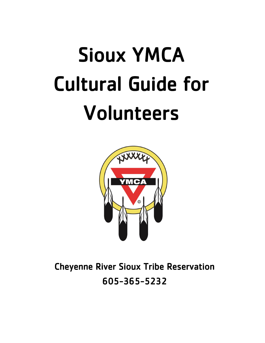# Sioux YMCA Cultural Guide for Volunteers



Cheyenne River Sioux Tribe Reservation 605-365-5232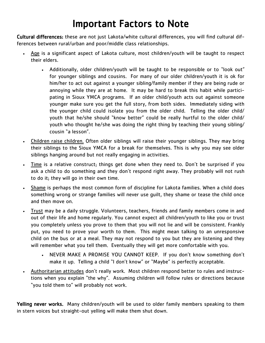# Important Factors to Note

Cultural differences: these are not just Lakota/white cultural differences, you will find cultural differences between rural/urban and poor/middle class relationships.

- Age is a significant aspect of Lakota culture, most children/youth will be taught to respect their elders.
	- Additionally, older children/youth will be taught to be responsible or to "look out" for younger siblings and cousins. For many of our older children/youth it is ok for him/her to act out against a younger sibling/family member if they are being rude or annoying while they are at home. It may be hard to break this habit while participating in Sioux YMCA programs. If an older child/youth acts out against someone younger make sure you get the full story, from both sides. Immediately siding with the younger child could isolate you from the older child. Telling the older child/ youth that he/she should "know better" could be really hurtful to the older child/ youth who thought he/she was doing the right thing by teaching their young sibling/ cousin "a lesson".
- Children raise children. Often older siblings will raise their younger siblings. They may bring their siblings to the Sioux YMCA for a break for themselves. This is why you may see older siblings hanging around but not really engaging in activities.
- Time is a relative construct; things get done when they need to. Don't be surprised if you ask a child to do something and they don't respond right away. They probably will not rush to do it; they will go in their own time.
- Shame is perhaps the most common form of discipline for Lakota families. When a child does something wrong or strange families will never use guilt, they shame or tease the child once and then move on.
- Trust may be a daily struggle. Volunteers, teachers, friends and family members come in and out of their life and home regularly. You cannot expect all children/youth to like you or trust you completely unless you prove to them that you will not lie and will be consistent. Frankly put, you need to prove your worth to them. This might mean talking to an unresponsive child on the bus or at a meal. They may not respond to you but they are listening and they will remember what you tell them. Eventually they will get more comfortable with you.
	- NEVER MAKE A PROMISE YOU CANNOT KEEP. If you don't know something don't make it up. Telling a child "I don't know" or "Maybe" is perfectly acceptable.
- Authoritarian attitudes don't really work. Most children respond better to rules and instructions when you explain "the why". Assuming children will follow rules or directions because "you told them to" will probably not work.

Yelling never works. Many children/youth will be used to older family members speaking to them in stern voices but straight-out yelling will make them shut down.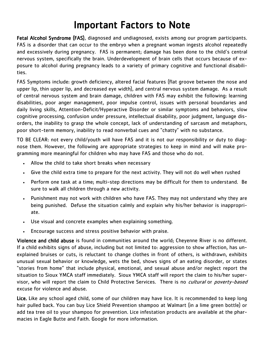# Important Factors to Note

Fetal Alcohol Syndrome (FAS), diagnosed and undiagnosed, exists among our program participants. FAS is a disorder that can occur to the embryo when a pregnant woman ingests alcohol repeatedly and excessively during pregnancy. FAS is permanent; damage has been done to the child's central nervous system, specifically the brain. Underdevelopment of brain cells that occurs because of exposure to alcohol during pregnancy leads to a variety of primary cognitive and functional disabilities.

FAS Symptoms include: growth deficiency, altered facial features (flat groove between the nose and upper lip, thin upper lip, and decreased eye width), and central nervous system damage. As a result of central nervous system and brain damage, children with FAS may exhibit the following: learning disabilities, poor anger management, poor impulse control, issues with personal boundaries and daily living skills, Attention-Deficit/Hyperactive Disorder or similar symptoms and behaviors, slow cognitive processing, confusion under pressure, intellectual disability, poor judgment, language disorders, the inability to grasp the whole concept, lack of understanding of sarcasm and metaphors, poor short-term memory, inability to read nonverbal cues and "chatty" with no substance.

TO BE CLEAR: not every child/youth will have FAS and it is not our responsibility or duty to diagnose them. However, the following are appropriate strategies to keep in mind and will make programming more meaningful for children who may have FAS and those who do not.

- Allow the child to take short breaks when necessary
- Give the child extra time to prepare for the next activity. They will not do well when rushed
- Perform one task at a time; multi-step directions may be difficult for them to understand. Be sure to walk all children through a new activity.
- Punishment may not work with children who have FAS. They may not understand why they are being punished. Defuse the situation calmly and explain why his/her behavior is inappropriate.
- Use visual and concrete examples when explaining something.
- Encourage success and stress positive behavior with praise.

Violence and child abuse is found in communities around the world; Cheyenne River is no different. If a child exhibits signs of abuse, including but not limited to: aggression to show affection, has unexplained bruises or cuts, is reluctant to change clothes in front of others, is withdrawn, exhibits unusual sexual behavior or knowledge, wets the bed, shows signs of an eating disorder, or states "stories from home" that include physical, emotional, and sexual abuse and/or neglect report the situation to Sioux YMCA staff immediately. Sioux YMCA staff will report the claim to his/her supervisor, who will report the claim to Child Protective Services. There is no *cultural* or *poverty-based* excuse for violence and abuse.

Lice. Like any school aged child, some of our children may have lice. It is recommended to keep long hair pulled back. You can buy Lice Shield Prevention shampoo at Walmart (in a lime green bottle) or add tea tree oil to your shampoo for prevention. Lice infestation products are available at the pharmacies in Eagle Butte and Faith. Google for more information.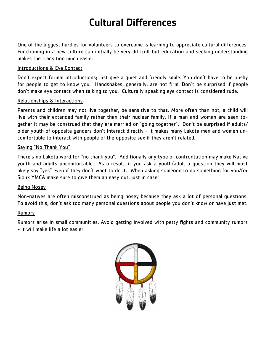# Cultural Differences

One of the biggest hurdles for volunteers to overcome is learning to appreciate cultural differences. Functioning in a new culture can initially be very difficult but education and seeking understanding makes the transition much easier.

## Introductions & Eye Contact

Don't expect formal introductions; just give a quiet and friendly smile. You don't have to be pushy for people to get to know you. Handshakes, generally, are not firm. Don't be surprised if people don't make eye contact when talking to you. Culturally speaking eye contact is considered rude.

## Relationships & Interactions

Parents and children may not live together, be sensitive to that. More often than not, a child will live with their extended family rather than their nuclear family. If a man and woman are seen together it may be construed that they are married or "going together". Don't be surprised if adults/ older youth of opposite genders don't interact directly - it makes many Lakota men and women uncomfortable to interact with people of the opposite sex if they aren't related.

## Saying "No Thank You"

There's no Lakota word for "no thank you". Additionally any type of confrontation may make Native youth and adults uncomfortable. As a result, if you ask a youth/adult a question they will most likely say "yes" even if they don't want to do it. When asking someone to do something for you/for Sioux YMCA make sure to give them an easy out, just in case!

# Being Nosey

Non-natives are often misconstrued as being nosey because they ask a lot of personal questions. To avoid this, don't ask too many personal questions about people you don't know or have just met.

#### Rumors

Rumors arise in small communities. Avoid getting involved with petty fights and community rumors - it will make life a lot easier.

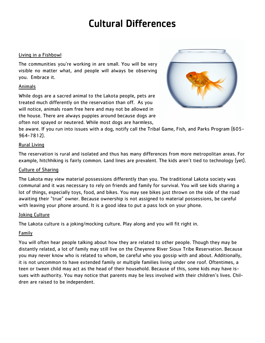# Cultural Differences

#### Living in a Fishbowl

The communities you're working in are small. You will be very visible no matter what, and people will always be observing you. Embrace it.

## Animals

While dogs are a sacred animal to the Lakota people, pets are treated much differently on the reservation than off. As you will notice, animals roam free here and may not be allowed in the house. There are always puppies around because dogs are often not spayed or neutered. While most dogs are harmless,



be aware. If you run into issues with a dog, notify call the Tribal Game, Fish, and Parks Program (605- 964-7812).

## Rural Living

The reservation is rural and isolated and thus has many differences from more metropolitan areas. For example, hitchhiking is fairly common. Land lines are prevalent. The kids aren't tied to technology (yet).

## Culture of Sharing

The Lakota may view material possessions differently than you. The traditional Lakota society was communal and it was necessary to rely on friends and family for survival. You will see kids sharing a lot of things, especially toys, food, and bikes. You may see bikes just thrown on the side of the road awaiting their "true" owner. Because ownership is not assigned to material possessions, be careful with leaving your phone around. It is a good idea to put a pass lock on your phone.

#### Joking Culture

The Lakota culture is a joking/mocking culture. Play along and you will fit right in.

# Family

You will often hear people talking about how they are related to other people. Though they may be distantly related, a lot of family may still live on the Cheyenne River Sioux Tribe Reservation. Because you may never know who is related to whom, be careful who you gossip with and about. Additionally, it is not uncommon to have extended family or multiple families living under one roof. Oftentimes, a teen or tween child may act as the head of their household. Because of this, some kids may have issues with authority. You may notice that parents may be less involved with their children's lives. Children are raised to be independent.